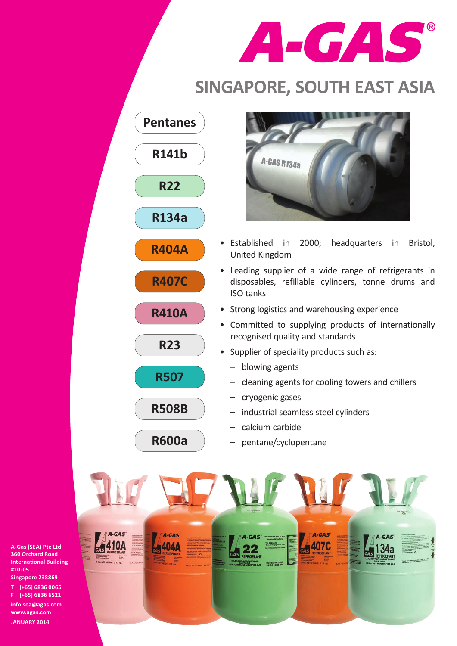

## **SINGAPORE, SOUTH EAST ASIA**





**info.sea@agas.com www.agas.com JANUARY 2014**



- • Established in 2000; headquarters in Bristol, United Kingdom
- Leading supplier of a wide range of refrigerants in disposables, refillable cylinders, tonne drums and ISO tanks
- Strong logistics and warehousing experience
- • Committed to supplying products of internationally recognised quality and standards
- Supplier of speciality products such as:
	- – blowing agents
	- cleaning agents for cooling towers and chillers
	- – cryogenic gases
	- – industrial seamless steel cylinders
	- – calcium carbide
	- – pentane/cyclopentane